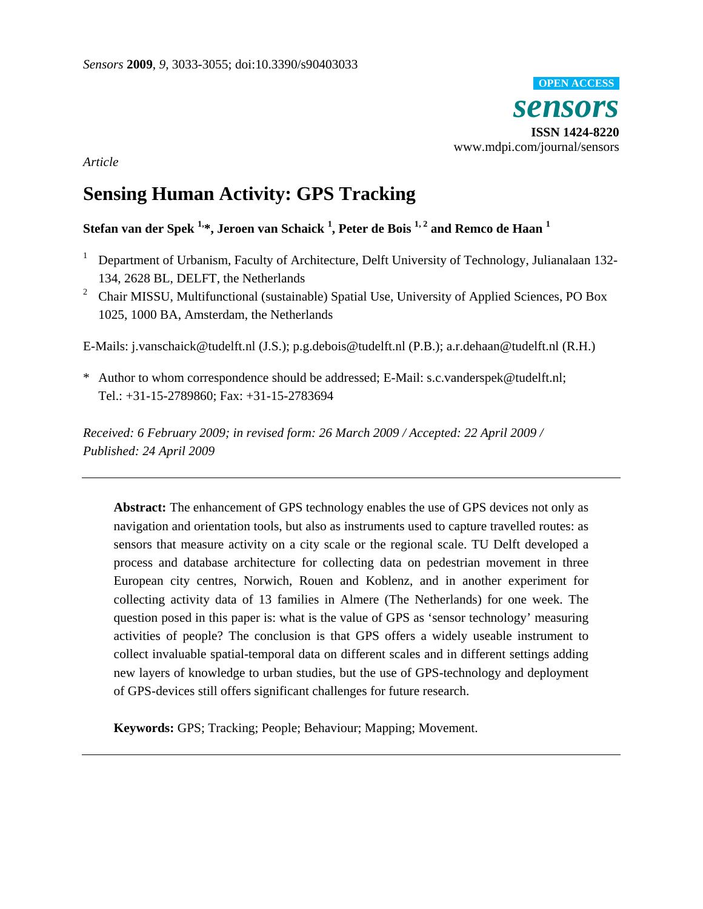

*Article* 

# **Sensing Human Activity: GPS Tracking**

## **Stefan van der Spek 1,\*, Jeroen van Schaick 1 , Peter de Bois 1, 2 and Remco de Haan 1**

- 1 Department of Urbanism, Faculty of Architecture, Delft University of Technology, Julianalaan 132- 134, 2628 BL, DELFT, the Netherlands
- <sup>2</sup> Chair MISSU, Multifunctional (sustainable) Spatial Use, University of Applied Sciences, PO Box 1025, 1000 BA, Amsterdam, the Netherlands

E-Mails: j.vanschaick@tudelft.nl (J.S.); p.g.debois@tudelft.nl (P.B.); a.r.dehaan@tudelft.nl (R.H.)

\* Author to whom correspondence should be addressed; E-Mail: s.c.vanderspek@tudelft.nl; Tel.: +31-15-2789860; Fax: +31-15-2783694

*Received: 6 February 2009; in revised form: 26 March 2009 / Accepted: 22 April 2009 / Published: 24 April 2009* 

**Abstract:** The enhancement of GPS technology enables the use of GPS devices not only as navigation and orientation tools, but also as instruments used to capture travelled routes: as sensors that measure activity on a city scale or the regional scale. TU Delft developed a process and database architecture for collecting data on pedestrian movement in three European city centres, Norwich, Rouen and Koblenz, and in another experiment for collecting activity data of 13 families in Almere (The Netherlands) for one week. The question posed in this paper is: what is the value of GPS as 'sensor technology' measuring activities of people? The conclusion is that GPS offers a widely useable instrument to collect invaluable spatial-temporal data on different scales and in different settings adding new layers of knowledge to urban studies, but the use of GPS-technology and deployment of GPS-devices still offers significant challenges for future research.

**Keywords:** GPS; Tracking; People; Behaviour; Mapping; Movement.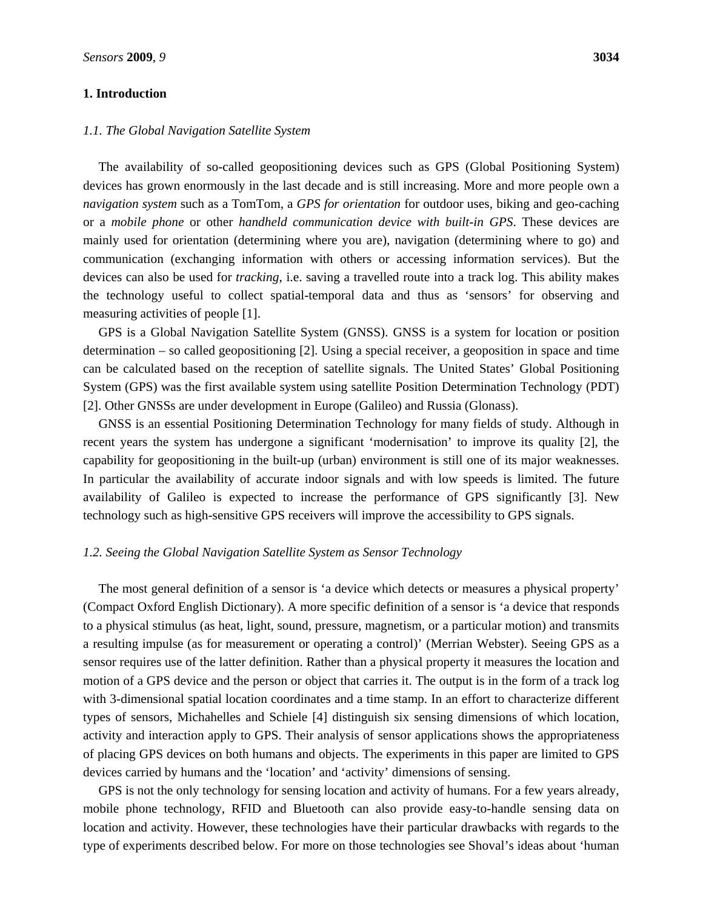#### **1. Introduction**

#### *1.1. The Global Navigation Satellite System*

The availability of so-called geopositioning devices such as GPS (Global Positioning System) devices has grown enormously in the last decade and is still increasing. More and more people own a *navigation system* such as a TomTom, a *GPS for orientation* for outdoor uses, biking and geo-caching or a *mobile phone* or other *handheld communication device with built-in GPS*. These devices are mainly used for orientation (determining where you are), navigation (determining where to go) and communication (exchanging information with others or accessing information services). But the devices can also be used for *tracking*, i.e. saving a travelled route into a track log. This ability makes the technology useful to collect spatial-temporal data and thus as 'sensors' for observing and measuring activities of people [1].

GPS is a Global Navigation Satellite System (GNSS). GNSS is a system for location or position determination – so called geopositioning [2]. Using a special receiver, a geoposition in space and time can be calculated based on the reception of satellite signals. The United States' Global Positioning System (GPS) was the first available system using satellite Position Determination Technology (PDT) [2]. Other GNSSs are under development in Europe (Galileo) and Russia (Glonass).

GNSS is an essential Positioning Determination Technology for many fields of study. Although in recent years the system has undergone a significant 'modernisation' to improve its quality [2], the capability for geopositioning in the built-up (urban) environment is still one of its major weaknesses. In particular the availability of accurate indoor signals and with low speeds is limited. The future availability of Galileo is expected to increase the performance of GPS significantly [3]. New technology such as high-sensitive GPS receivers will improve the accessibility to GPS signals.

#### *1.2. Seeing the Global Navigation Satellite System as Sensor Technology*

The most general definition of a sensor is 'a device which detects or measures a physical property' (Compact Oxford English Dictionary). A more specific definition of a sensor is 'a device that responds to a physical stimulus (as heat, light, sound, pressure, magnetism, or a particular motion) and transmits a resulting impulse (as for measurement or operating a control)' (Merrian Webster). Seeing GPS as a sensor requires use of the latter definition. Rather than a physical property it measures the location and motion of a GPS device and the person or object that carries it. The output is in the form of a track log with 3-dimensional spatial location coordinates and a time stamp. In an effort to characterize different types of sensors, Michahelles and Schiele [4] distinguish six sensing dimensions of which location, activity and interaction apply to GPS. Their analysis of sensor applications shows the appropriateness of placing GPS devices on both humans and objects. The experiments in this paper are limited to GPS devices carried by humans and the 'location' and 'activity' dimensions of sensing.

GPS is not the only technology for sensing location and activity of humans. For a few years already, mobile phone technology, RFID and Bluetooth can also provide easy-to-handle sensing data on location and activity. However, these technologies have their particular drawbacks with regards to the type of experiments described below. For more on those technologies see Shoval's ideas about 'human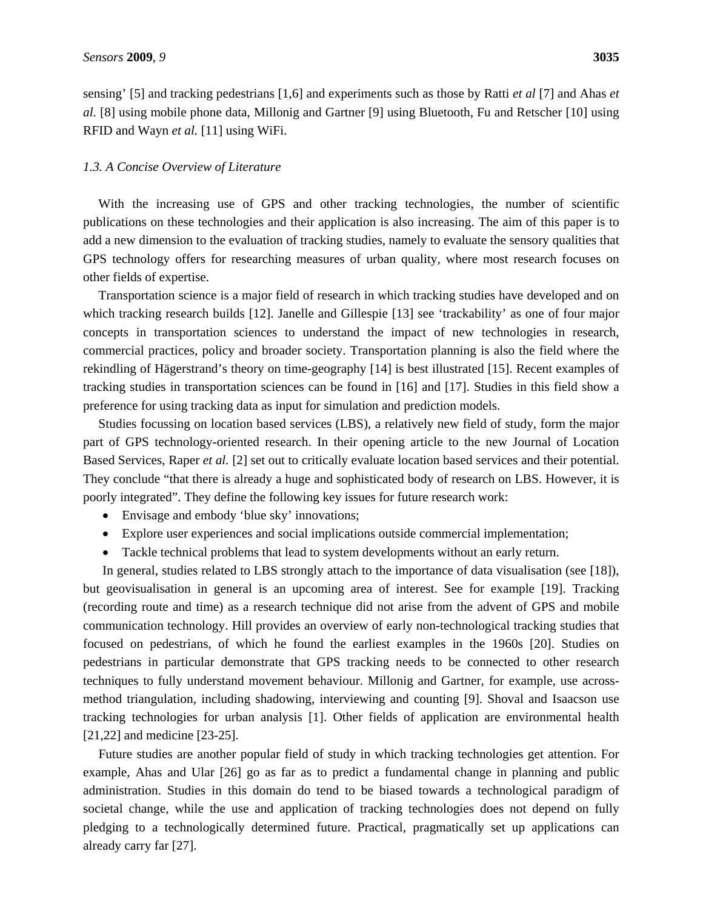sensing' [5] and tracking pedestrians [1,6] and experiments such as those by Ratti *et al* [7] and Ahas *et al.* [8] using mobile phone data, Millonig and Gartner [9] using Bluetooth, Fu and Retscher [10] using RFID and Wayn *et al.* [11] using WiFi.

#### *1.3. A Concise Overview of Literature*

With the increasing use of GPS and other tracking technologies, the number of scientific publications on these technologies and their application is also increasing. The aim of this paper is to add a new dimension to the evaluation of tracking studies, namely to evaluate the sensory qualities that GPS technology offers for researching measures of urban quality, where most research focuses on other fields of expertise.

Transportation science is a major field of research in which tracking studies have developed and on which tracking research builds [12]. Janelle and Gillespie [13] see 'trackability' as one of four major concepts in transportation sciences to understand the impact of new technologies in research, commercial practices, policy and broader society. Transportation planning is also the field where the rekindling of Hägerstrand's theory on time-geography [14] is best illustrated [15]. Recent examples of tracking studies in transportation sciences can be found in [16] and [17]. Studies in this field show a preference for using tracking data as input for simulation and prediction models.

Studies focussing on location based services (LBS), a relatively new field of study, form the major part of GPS technology-oriented research. In their opening article to the new Journal of Location Based Services, Raper *et al.* [2] set out to critically evaluate location based services and their potential. They conclude "that there is already a huge and sophisticated body of research on LBS. However, it is poorly integrated". They define the following key issues for future research work:

- Envisage and embody 'blue sky' innovations;
- Explore user experiences and social implications outside commercial implementation;
- Tackle technical problems that lead to system developments without an early return.

In general, studies related to LBS strongly attach to the importance of data visualisation (see [18]), but geovisualisation in general is an upcoming area of interest. See for example [19]. Tracking (recording route and time) as a research technique did not arise from the advent of GPS and mobile communication technology. Hill provides an overview of early non-technological tracking studies that focused on pedestrians, of which he found the earliest examples in the 1960s [20]. Studies on pedestrians in particular demonstrate that GPS tracking needs to be connected to other research techniques to fully understand movement behaviour. Millonig and Gartner, for example, use acrossmethod triangulation, including shadowing, interviewing and counting [9]. Shoval and Isaacson use tracking technologies for urban analysis [1]. Other fields of application are environmental health [21,22] and medicine [23-25].

Future studies are another popular field of study in which tracking technologies get attention. For example, Ahas and Ular [26] go as far as to predict a fundamental change in planning and public administration. Studies in this domain do tend to be biased towards a technological paradigm of societal change, while the use and application of tracking technologies does not depend on fully pledging to a technologically determined future. Practical, pragmatically set up applications can already carry far [27].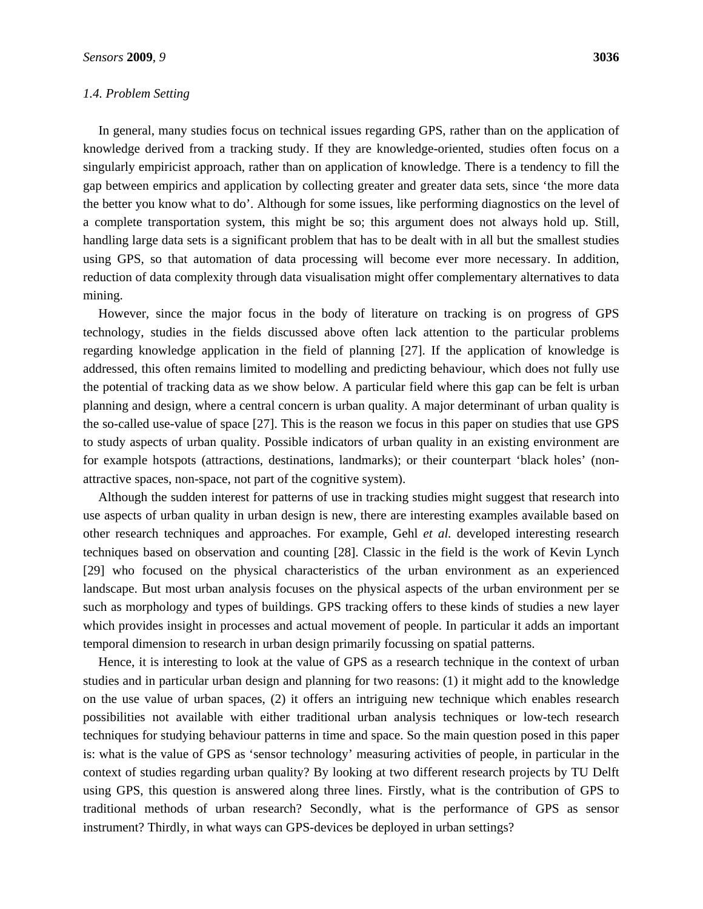#### *1.4. Problem Setting*

In general, many studies focus on technical issues regarding GPS, rather than on the application of knowledge derived from a tracking study. If they are knowledge-oriented, studies often focus on a singularly empiricist approach, rather than on application of knowledge. There is a tendency to fill the gap between empirics and application by collecting greater and greater data sets, since 'the more data the better you know what to do'. Although for some issues, like performing diagnostics on the level of a complete transportation system, this might be so; this argument does not always hold up. Still, handling large data sets is a significant problem that has to be dealt with in all but the smallest studies using GPS, so that automation of data processing will become ever more necessary. In addition, reduction of data complexity through data visualisation might offer complementary alternatives to data mining.

However, since the major focus in the body of literature on tracking is on progress of GPS technology, studies in the fields discussed above often lack attention to the particular problems regarding knowledge application in the field of planning [27]. If the application of knowledge is addressed, this often remains limited to modelling and predicting behaviour, which does not fully use the potential of tracking data as we show below. A particular field where this gap can be felt is urban planning and design, where a central concern is urban quality. A major determinant of urban quality is the so-called use-value of space [27]. This is the reason we focus in this paper on studies that use GPS to study aspects of urban quality. Possible indicators of urban quality in an existing environment are for example hotspots (attractions, destinations, landmarks); or their counterpart 'black holes' (nonattractive spaces, non-space, not part of the cognitive system).

Although the sudden interest for patterns of use in tracking studies might suggest that research into use aspects of urban quality in urban design is new, there are interesting examples available based on other research techniques and approaches. For example, Gehl *et al.* developed interesting research techniques based on observation and counting [28]. Classic in the field is the work of Kevin Lynch [29] who focused on the physical characteristics of the urban environment as an experienced landscape. But most urban analysis focuses on the physical aspects of the urban environment per se such as morphology and types of buildings. GPS tracking offers to these kinds of studies a new layer which provides insight in processes and actual movement of people. In particular it adds an important temporal dimension to research in urban design primarily focussing on spatial patterns.

Hence, it is interesting to look at the value of GPS as a research technique in the context of urban studies and in particular urban design and planning for two reasons: (1) it might add to the knowledge on the use value of urban spaces, (2) it offers an intriguing new technique which enables research possibilities not available with either traditional urban analysis techniques or low-tech research techniques for studying behaviour patterns in time and space. So the main question posed in this paper is: what is the value of GPS as 'sensor technology' measuring activities of people, in particular in the context of studies regarding urban quality? By looking at two different research projects by TU Delft using GPS, this question is answered along three lines. Firstly, what is the contribution of GPS to traditional methods of urban research? Secondly, what is the performance of GPS as sensor instrument? Thirdly, in what ways can GPS-devices be deployed in urban settings?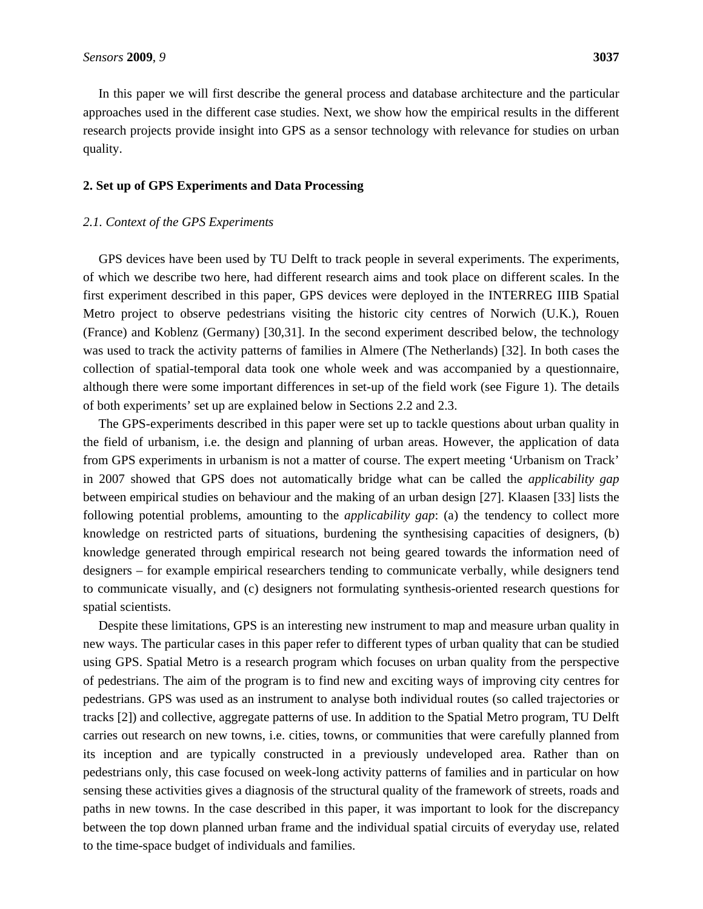In this paper we will first describe the general process and database architecture and the particular approaches used in the different case studies. Next, we show how the empirical results in the different research projects provide insight into GPS as a sensor technology with relevance for studies on urban quality.

### **2. Set up of GPS Experiments and Data Processing**

#### *2.1. Context of the GPS Experiments*

GPS devices have been used by TU Delft to track people in several experiments. The experiments, of which we describe two here, had different research aims and took place on different scales. In the first experiment described in this paper, GPS devices were deployed in the INTERREG IIIB Spatial Metro project to observe pedestrians visiting the historic city centres of Norwich (U.K.), Rouen (France) and Koblenz (Germany) [30,31]. In the second experiment described below, the technology was used to track the activity patterns of families in Almere (The Netherlands) [32]. In both cases the collection of spatial-temporal data took one whole week and was accompanied by a questionnaire, although there were some important differences in set-up of the field work (see Figure 1). The details of both experiments' set up are explained below in Sections 2.2 and 2.3.

The GPS-experiments described in this paper were set up to tackle questions about urban quality in the field of urbanism, i.e. the design and planning of urban areas. However, the application of data from GPS experiments in urbanism is not a matter of course. The expert meeting 'Urbanism on Track' in 2007 showed that GPS does not automatically bridge what can be called the *applicability gap* between empirical studies on behaviour and the making of an urban design [27]. Klaasen [33] lists the following potential problems, amounting to the *applicability gap*: (a) the tendency to collect more knowledge on restricted parts of situations, burdening the synthesising capacities of designers, (b) knowledge generated through empirical research not being geared towards the information need of designers – for example empirical researchers tending to communicate verbally, while designers tend to communicate visually, and (c) designers not formulating synthesis-oriented research questions for spatial scientists.

Despite these limitations, GPS is an interesting new instrument to map and measure urban quality in new ways. The particular cases in this paper refer to different types of urban quality that can be studied using GPS. Spatial Metro is a research program which focuses on urban quality from the perspective of pedestrians. The aim of the program is to find new and exciting ways of improving city centres for pedestrians. GPS was used as an instrument to analyse both individual routes (so called trajectories or tracks [2]) and collective, aggregate patterns of use. In addition to the Spatial Metro program, TU Delft carries out research on new towns, i.e. cities, towns, or communities that were carefully planned from its inception and are typically constructed in a previously undeveloped area. Rather than on pedestrians only, this case focused on week-long activity patterns of families and in particular on how sensing these activities gives a diagnosis of the structural quality of the framework of streets, roads and paths in new towns. In the case described in this paper, it was important to look for the discrepancy between the top down planned urban frame and the individual spatial circuits of everyday use, related to the time-space budget of individuals and families.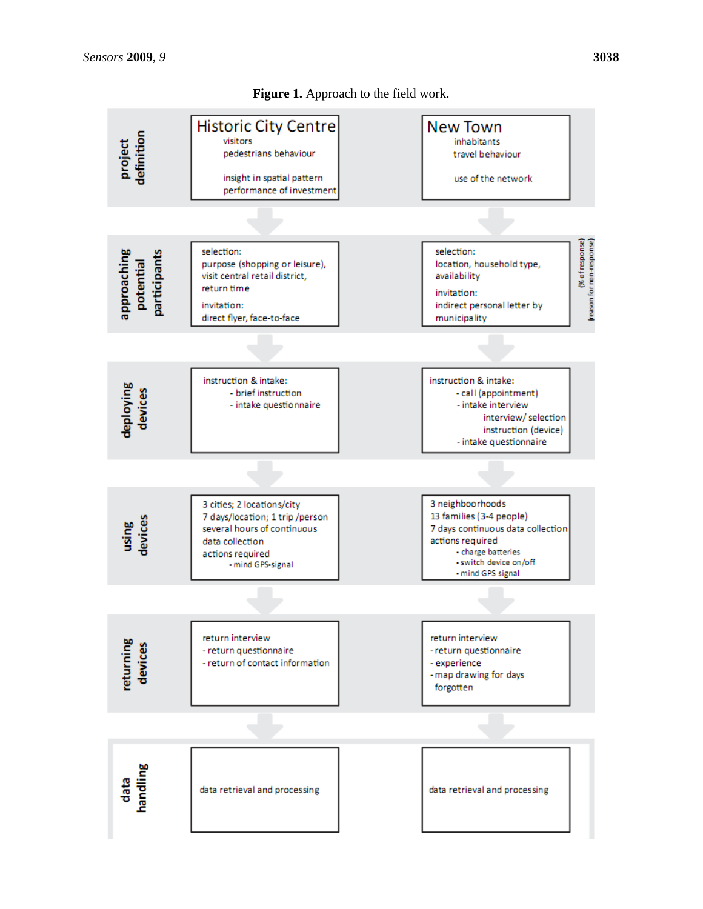

**Figure 1.** Approach to the field work.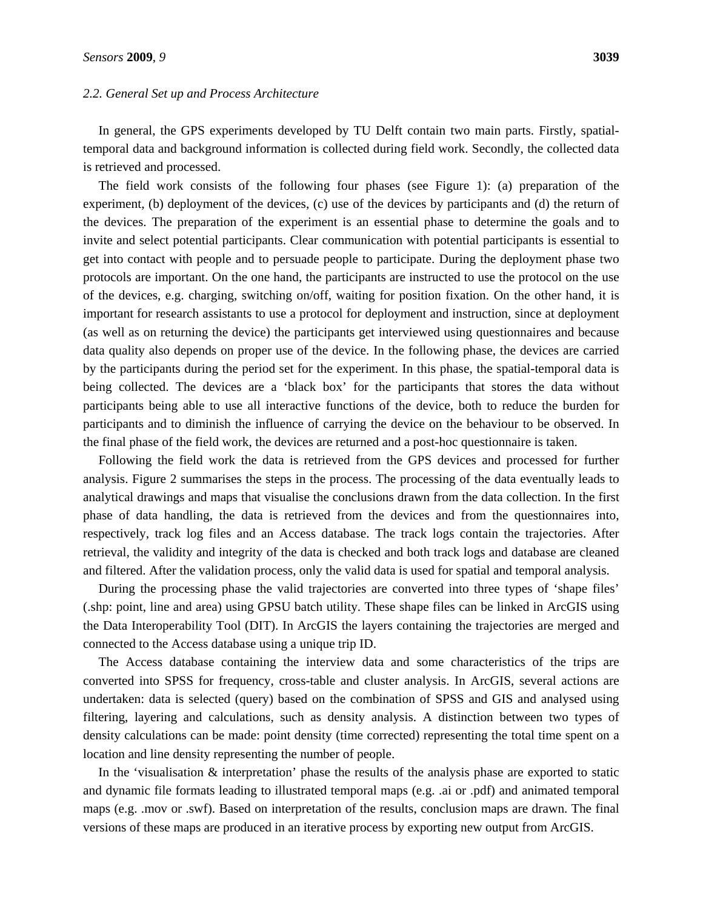#### *2.2. General Set up and Process Architecture*

In general, the GPS experiments developed by TU Delft contain two main parts. Firstly, spatialtemporal data and background information is collected during field work. Secondly, the collected data is retrieved and processed.

The field work consists of the following four phases (see Figure 1): (a) preparation of the experiment, (b) deployment of the devices, (c) use of the devices by participants and (d) the return of the devices. The preparation of the experiment is an essential phase to determine the goals and to invite and select potential participants. Clear communication with potential participants is essential to get into contact with people and to persuade people to participate. During the deployment phase two protocols are important. On the one hand, the participants are instructed to use the protocol on the use of the devices, e.g. charging, switching on/off, waiting for position fixation. On the other hand, it is important for research assistants to use a protocol for deployment and instruction, since at deployment (as well as on returning the device) the participants get interviewed using questionnaires and because data quality also depends on proper use of the device. In the following phase, the devices are carried by the participants during the period set for the experiment. In this phase, the spatial-temporal data is being collected. The devices are a 'black box' for the participants that stores the data without participants being able to use all interactive functions of the device, both to reduce the burden for participants and to diminish the influence of carrying the device on the behaviour to be observed. In the final phase of the field work, the devices are returned and a post-hoc questionnaire is taken.

Following the field work the data is retrieved from the GPS devices and processed for further analysis. Figure 2 summarises the steps in the process. The processing of the data eventually leads to analytical drawings and maps that visualise the conclusions drawn from the data collection. In the first phase of data handling, the data is retrieved from the devices and from the questionnaires into, respectively, track log files and an Access database. The track logs contain the trajectories. After retrieval, the validity and integrity of the data is checked and both track logs and database are cleaned and filtered. After the validation process, only the valid data is used for spatial and temporal analysis.

During the processing phase the valid trajectories are converted into three types of 'shape files' (.shp: point, line and area) using GPSU batch utility. These shape files can be linked in ArcGIS using the Data Interoperability Tool (DIT). In ArcGIS the layers containing the trajectories are merged and connected to the Access database using a unique trip ID.

The Access database containing the interview data and some characteristics of the trips are converted into SPSS for frequency, cross-table and cluster analysis. In ArcGIS, several actions are undertaken: data is selected (query) based on the combination of SPSS and GIS and analysed using filtering, layering and calculations, such as density analysis. A distinction between two types of density calculations can be made: point density (time corrected) representing the total time spent on a location and line density representing the number of people.

In the 'visualisation & interpretation' phase the results of the analysis phase are exported to static and dynamic file formats leading to illustrated temporal maps (e.g. .ai or .pdf) and animated temporal maps (e.g. .mov or .swf). Based on interpretation of the results, conclusion maps are drawn. The final versions of these maps are produced in an iterative process by exporting new output from ArcGIS.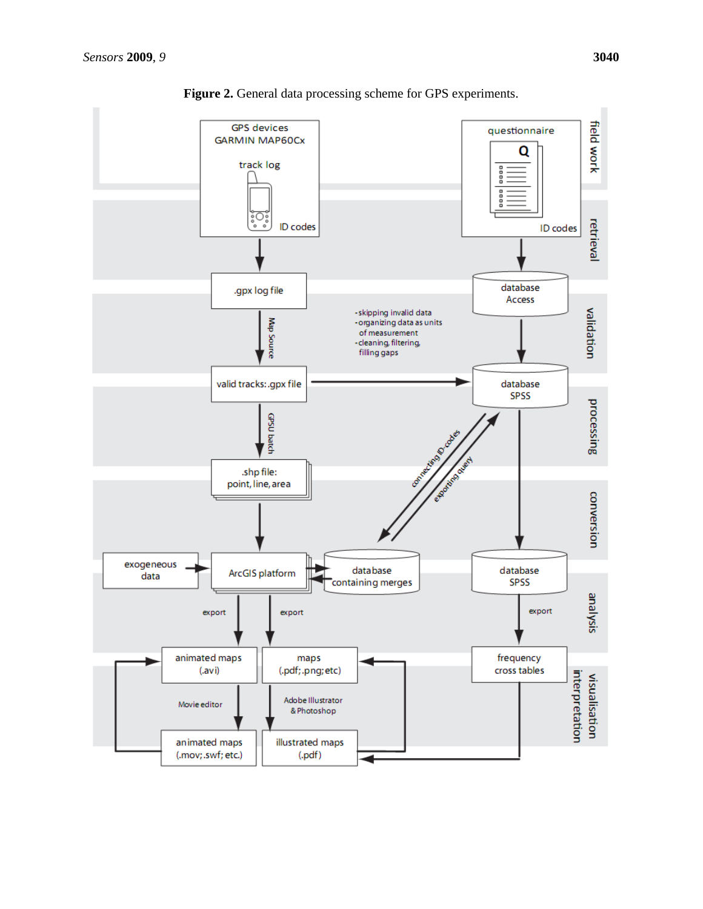

**Figure 2.** General data processing scheme for GPS experiments.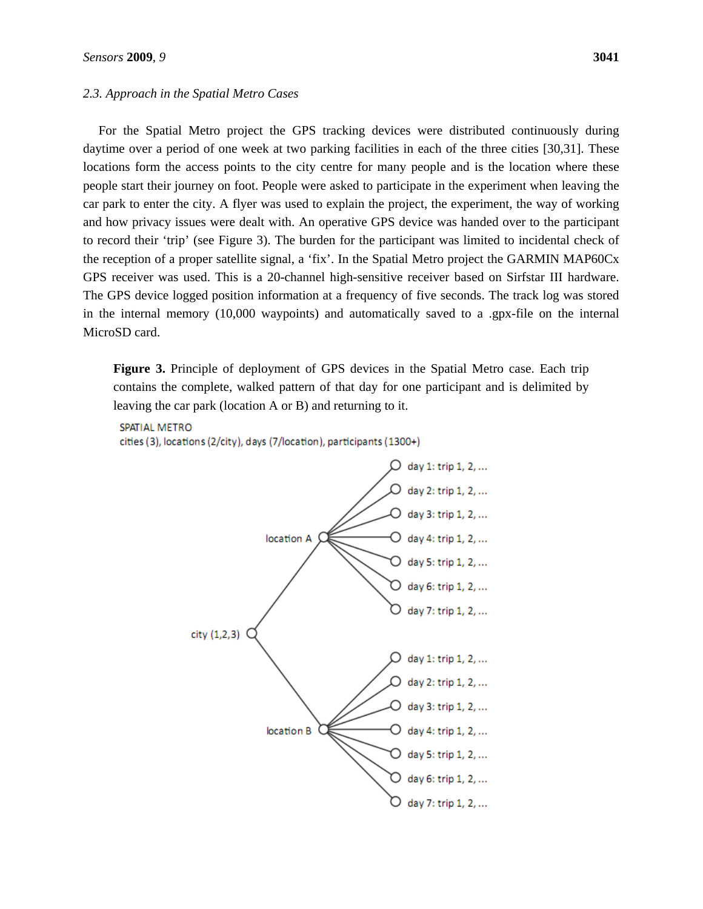#### *2.3. Approach in the Spatial Metro Cases*

For the Spatial Metro project the GPS tracking devices were distributed continuously during daytime over a period of one week at two parking facilities in each of the three cities [30,31]. These locations form the access points to the city centre for many people and is the location where these people start their journey on foot. People were asked to participate in the experiment when leaving the car park to enter the city. A flyer was used to explain the project, the experiment, the way of working and how privacy issues were dealt with. An operative GPS device was handed over to the participant to record their 'trip' (see Figure 3). The burden for the participant was limited to incidental check of the reception of a proper satellite signal, a 'fix'. In the Spatial Metro project the GARMIN MAP60Cx GPS receiver was used. This is a 20-channel high-sensitive receiver based on Sirfstar III hardware. The GPS device logged position information at a frequency of five seconds. The track log was stored in the internal memory (10,000 waypoints) and automatically saved to a .gpx-file on the internal MicroSD card.

**Figure 3.** Principle of deployment of GPS devices in the Spatial Metro case. Each trip contains the complete, walked pattern of that day for one participant and is delimited by leaving the car park (location A or B) and returning to it.

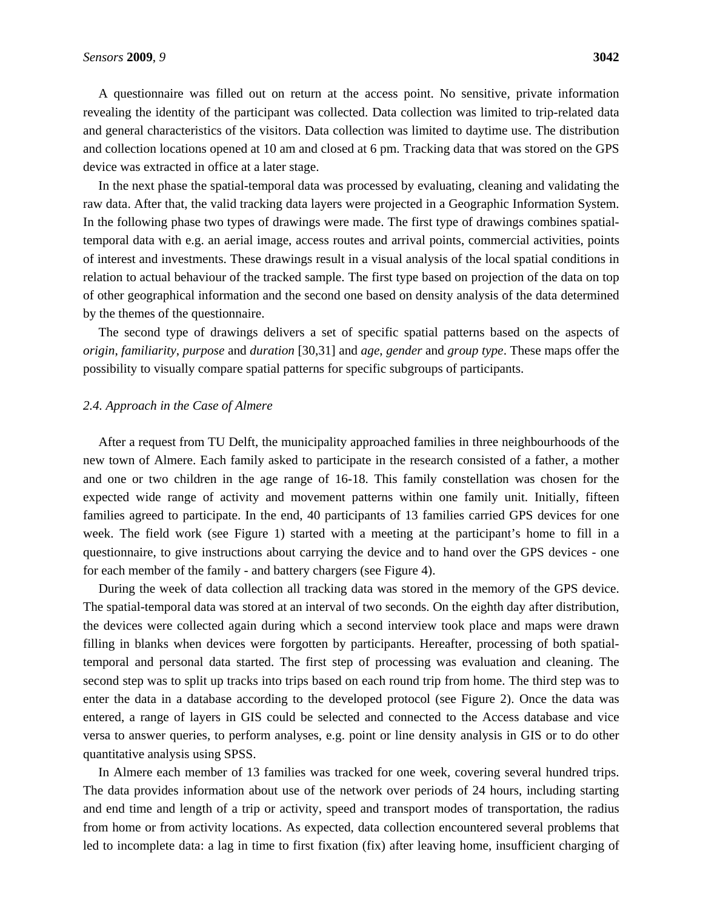A questionnaire was filled out on return at the access point. No sensitive, private information revealing the identity of the participant was collected. Data collection was limited to trip-related data and general characteristics of the visitors. Data collection was limited to daytime use. The distribution and collection locations opened at 10 am and closed at 6 pm. Tracking data that was stored on the GPS device was extracted in office at a later stage.

In the next phase the spatial-temporal data was processed by evaluating, cleaning and validating the raw data. After that, the valid tracking data layers were projected in a Geographic Information System. In the following phase two types of drawings were made. The first type of drawings combines spatialtemporal data with e.g. an aerial image, access routes and arrival points, commercial activities, points of interest and investments. These drawings result in a visual analysis of the local spatial conditions in relation to actual behaviour of the tracked sample. The first type based on projection of the data on top of other geographical information and the second one based on density analysis of the data determined by the themes of the questionnaire.

The second type of drawings delivers a set of specific spatial patterns based on the aspects of *origin*, *familiarity*, *purpose* and *duration* [30,31] and *age*, *gender* and *group type*. These maps offer the possibility to visually compare spatial patterns for specific subgroups of participants.

#### *2.4. Approach in the Case of Almere*

After a request from TU Delft, the municipality approached families in three neighbourhoods of the new town of Almere. Each family asked to participate in the research consisted of a father, a mother and one or two children in the age range of 16-18. This family constellation was chosen for the expected wide range of activity and movement patterns within one family unit. Initially, fifteen families agreed to participate. In the end, 40 participants of 13 families carried GPS devices for one week. The field work (see Figure 1) started with a meeting at the participant's home to fill in a questionnaire, to give instructions about carrying the device and to hand over the GPS devices - one for each member of the family - and battery chargers (see Figure 4).

During the week of data collection all tracking data was stored in the memory of the GPS device. The spatial-temporal data was stored at an interval of two seconds. On the eighth day after distribution, the devices were collected again during which a second interview took place and maps were drawn filling in blanks when devices were forgotten by participants. Hereafter, processing of both spatialtemporal and personal data started. The first step of processing was evaluation and cleaning. The second step was to split up tracks into trips based on each round trip from home. The third step was to enter the data in a database according to the developed protocol (see Figure 2). Once the data was entered, a range of layers in GIS could be selected and connected to the Access database and vice versa to answer queries, to perform analyses, e.g. point or line density analysis in GIS or to do other quantitative analysis using SPSS.

In Almere each member of 13 families was tracked for one week, covering several hundred trips. The data provides information about use of the network over periods of 24 hours, including starting and end time and length of a trip or activity, speed and transport modes of transportation, the radius from home or from activity locations. As expected, data collection encountered several problems that led to incomplete data: a lag in time to first fixation (fix) after leaving home, insufficient charging of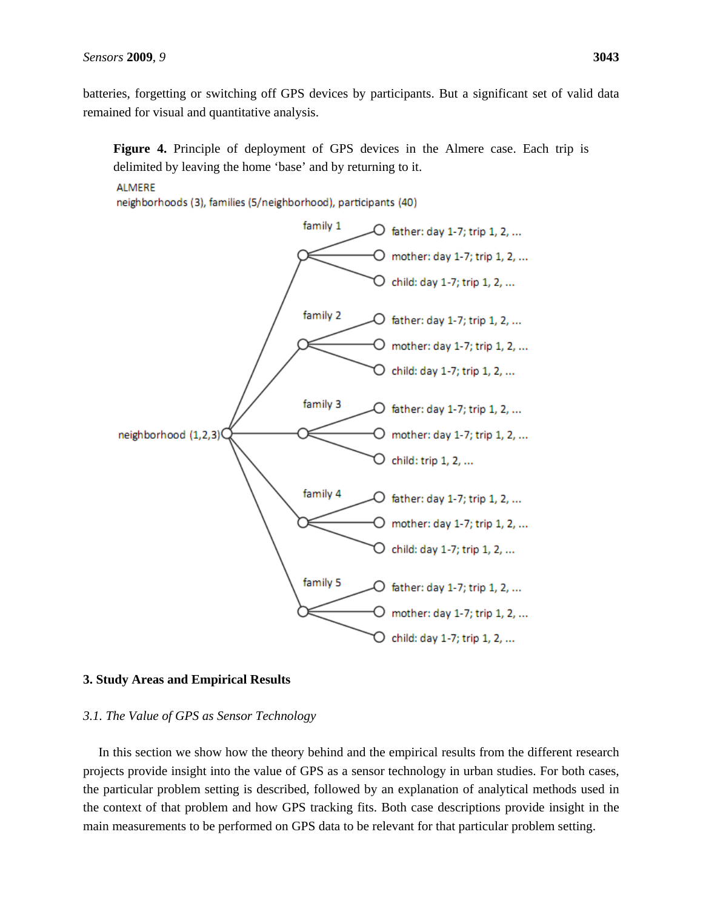batteries, forgetting or switching off GPS devices by participants. But a significant set of valid data remained for visual and quantitative analysis.

**Figure 4.** Principle of deployment of GPS devices in the Almere case. Each trip is delimited by leaving the home 'base' and by returning to it.

#### **ALMERE**

neighborhoods (3), families (5/neighborhood), participants (40)



#### **3. Study Areas and Empirical Results**

#### *3.1. The Value of GPS as Sensor Technology*

In this section we show how the theory behind and the empirical results from the different research projects provide insight into the value of GPS as a sensor technology in urban studies. For both cases, the particular problem setting is described, followed by an explanation of analytical methods used in the context of that problem and how GPS tracking fits. Both case descriptions provide insight in the main measurements to be performed on GPS data to be relevant for that particular problem setting.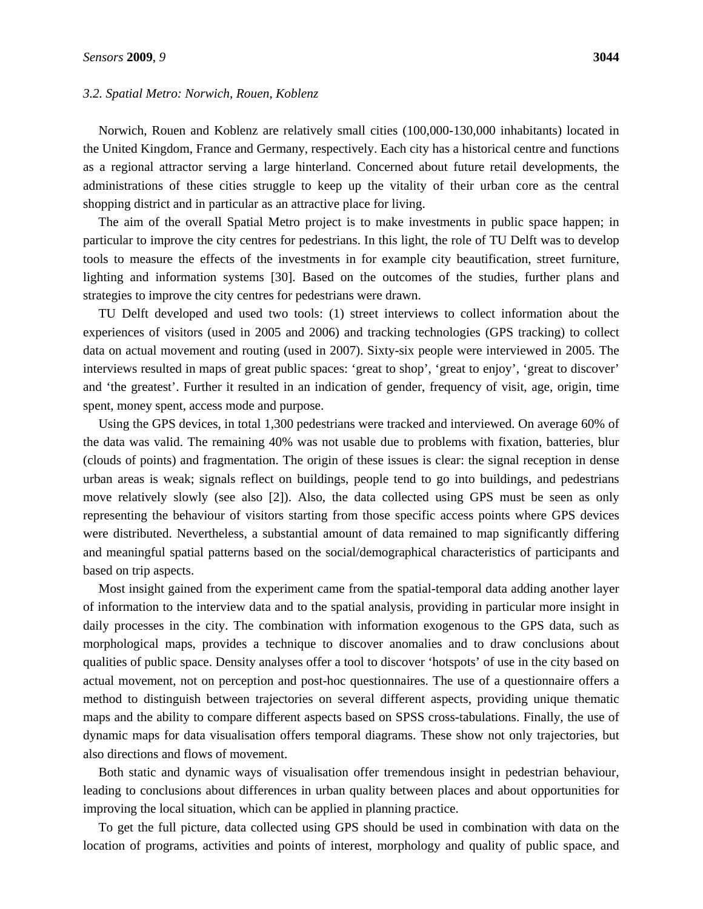#### *3.2. Spatial Metro: Norwich, Rouen, Koblenz*

Norwich, Rouen and Koblenz are relatively small cities (100,000-130,000 inhabitants) located in the United Kingdom, France and Germany, respectively. Each city has a historical centre and functions as a regional attractor serving a large hinterland. Concerned about future retail developments, the administrations of these cities struggle to keep up the vitality of their urban core as the central shopping district and in particular as an attractive place for living.

The aim of the overall Spatial Metro project is to make investments in public space happen; in particular to improve the city centres for pedestrians. In this light, the role of TU Delft was to develop tools to measure the effects of the investments in for example city beautification, street furniture, lighting and information systems [30]. Based on the outcomes of the studies, further plans and strategies to improve the city centres for pedestrians were drawn.

TU Delft developed and used two tools: (1) street interviews to collect information about the experiences of visitors (used in 2005 and 2006) and tracking technologies (GPS tracking) to collect data on actual movement and routing (used in 2007). Sixty-six people were interviewed in 2005. The interviews resulted in maps of great public spaces: 'great to shop', 'great to enjoy', 'great to discover' and 'the greatest'. Further it resulted in an indication of gender, frequency of visit, age, origin, time spent, money spent, access mode and purpose.

Using the GPS devices, in total 1,300 pedestrians were tracked and interviewed. On average 60% of the data was valid. The remaining 40% was not usable due to problems with fixation, batteries, blur (clouds of points) and fragmentation. The origin of these issues is clear: the signal reception in dense urban areas is weak; signals reflect on buildings, people tend to go into buildings, and pedestrians move relatively slowly (see also [2]). Also, the data collected using GPS must be seen as only representing the behaviour of visitors starting from those specific access points where GPS devices were distributed. Nevertheless, a substantial amount of data remained to map significantly differing and meaningful spatial patterns based on the social/demographical characteristics of participants and based on trip aspects.

Most insight gained from the experiment came from the spatial-temporal data adding another layer of information to the interview data and to the spatial analysis, providing in particular more insight in daily processes in the city. The combination with information exogenous to the GPS data, such as morphological maps, provides a technique to discover anomalies and to draw conclusions about qualities of public space. Density analyses offer a tool to discover 'hotspots' of use in the city based on actual movement, not on perception and post-hoc questionnaires. The use of a questionnaire offers a method to distinguish between trajectories on several different aspects, providing unique thematic maps and the ability to compare different aspects based on SPSS cross-tabulations. Finally, the use of dynamic maps for data visualisation offers temporal diagrams. These show not only trajectories, but also directions and flows of movement.

Both static and dynamic ways of visualisation offer tremendous insight in pedestrian behaviour, leading to conclusions about differences in urban quality between places and about opportunities for improving the local situation, which can be applied in planning practice.

To get the full picture, data collected using GPS should be used in combination with data on the location of programs, activities and points of interest, morphology and quality of public space, and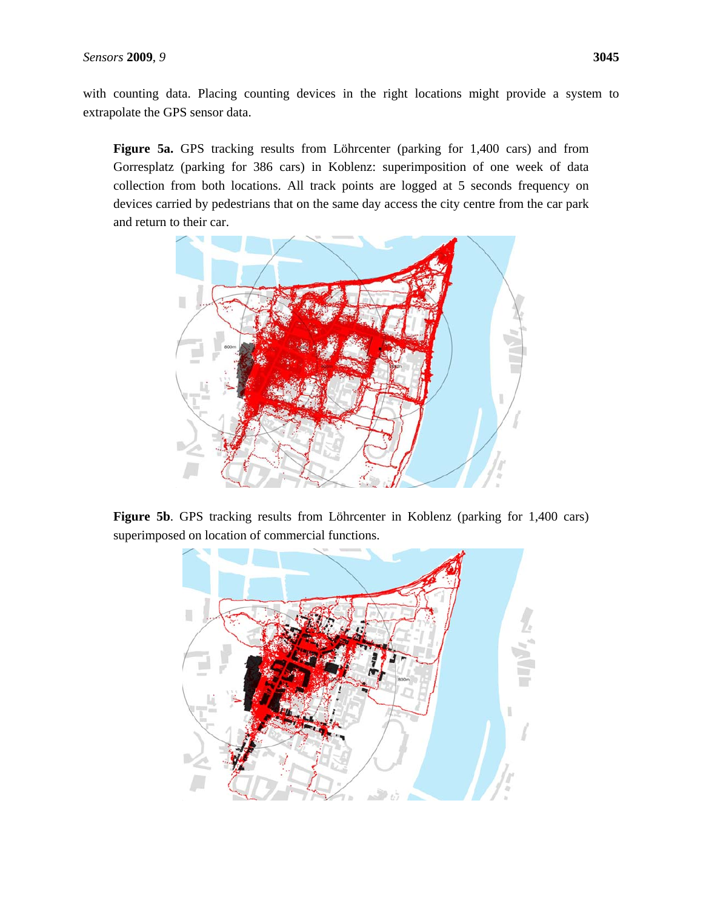with counting data. Placing counting devices in the right locations might provide a system to extrapolate the GPS sensor data.

**Figure 5a.** GPS tracking results from Löhrcenter (parking for 1,400 cars) and from Gorresplatz (parking for 386 cars) in Koblenz: superimposition of one week of data collection from both locations. All track points are logged at 5 seconds frequency on devices carried by pedestrians that on the same day access the city centre from the car park and return to their car.



**Figure 5b**. GPS tracking results from Löhrcenter in Koblenz (parking for 1,400 cars) superimposed on location of commercial functions.

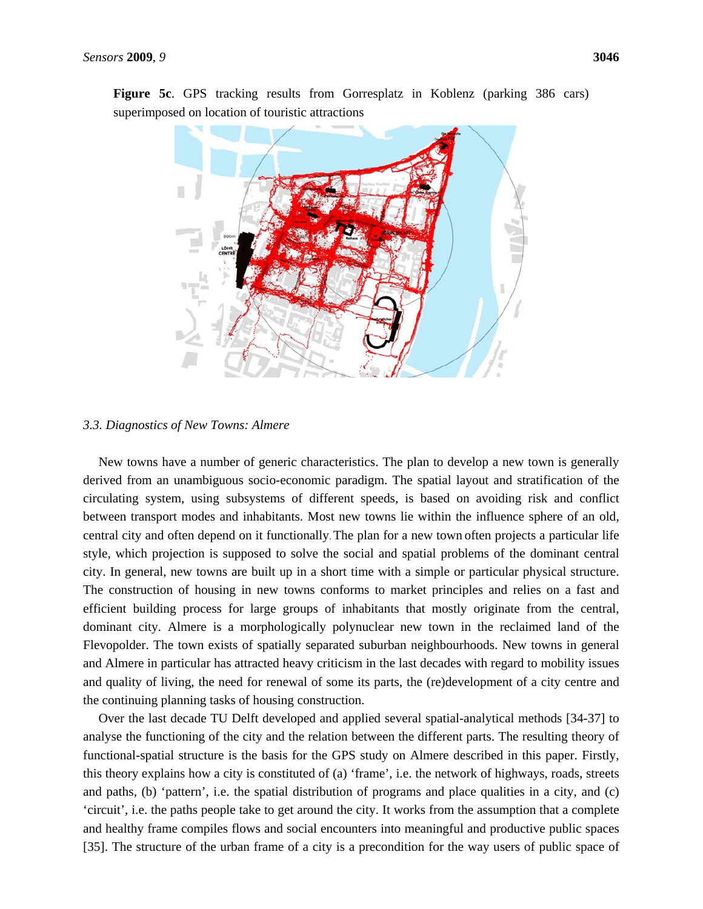

**Figure 5c**. GPS tracking results from Gorresplatz in Koblenz (parking 386 cars) superimposed on location of touristic attractions

#### *3.3. Diagnostics of New Towns: Almere*

New towns have a number of generic characteristics. The plan to develop a new town is generally derived from an unambiguous socio-economic paradigm. The spatial layout and stratification of the circulating system, using subsystems of different speeds, is based on avoiding risk and conflict between transport modes and inhabitants. Most new towns lie within the influence sphere of an old, central city and often depend on it functionally. The plan for a new town often projects a particular life style, which projection is supposed to solve the social and spatial problems of the dominant central city. In general, new towns are built up in a short time with a simple or particular physical structure. The construction of housing in new towns conforms to market principles and relies on a fast and efficient building process for large groups of inhabitants that mostly originate from the central, dominant city. Almere is a morphologically polynuclear new town in the reclaimed land of the Flevopolder. The town exists of spatially separated suburban neighbourhoods. New towns in general and Almere in particular has attracted heavy criticism in the last decades with regard to mobility issues and quality of living, the need for renewal of some its parts, the (re)development of a city centre and the continuing planning tasks of housing construction.

Over the last decade TU Delft developed and applied several spatial-analytical methods [34-37] to analyse the functioning of the city and the relation between the different parts. The resulting theory of functional-spatial structure is the basis for the GPS study on Almere described in this paper. Firstly, this theory explains how a city is constituted of (a) 'frame', i.e. the network of highways, roads, streets and paths, (b) 'pattern', i.e. the spatial distribution of programs and place qualities in a city, and (c) 'circuit', i.e. the paths people take to get around the city. It works from the assumption that a complete and healthy frame compiles flows and social encounters into meaningful and productive public spaces [35]. The structure of the urban frame of a city is a precondition for the way users of public space of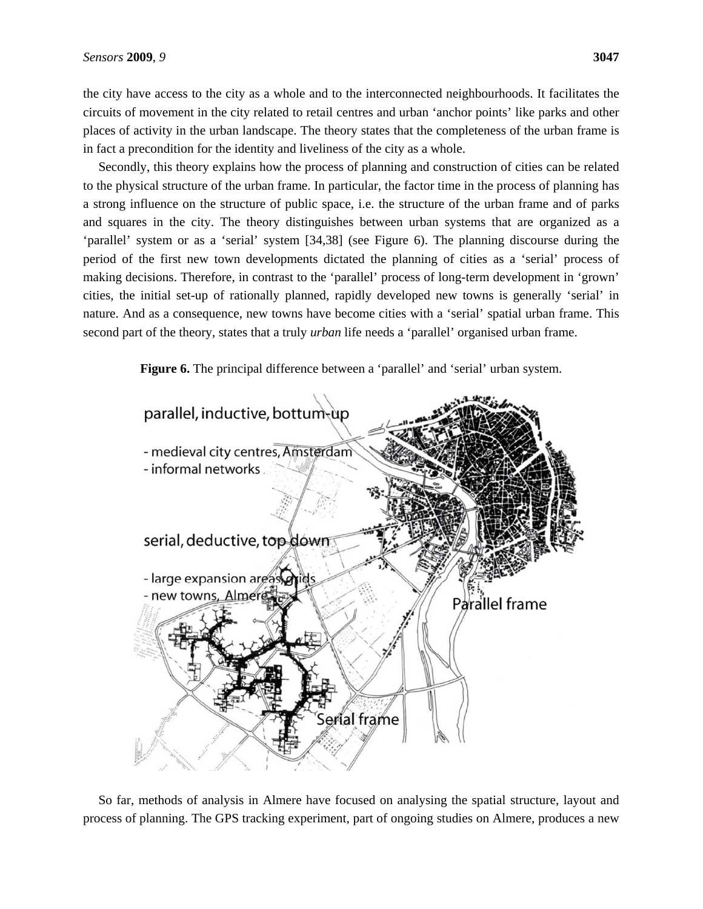the city have access to the city as a whole and to the interconnected neighbourhoods. It facilitates the circuits of movement in the city related to retail centres and urban 'anchor points' like parks and other places of activity in the urban landscape. The theory states that the completeness of the urban frame is in fact a precondition for the identity and liveliness of the city as a whole.

Secondly, this theory explains how the process of planning and construction of cities can be related to the physical structure of the urban frame. In particular, the factor time in the process of planning has a strong influence on the structure of public space, i.e. the structure of the urban frame and of parks and squares in the city. The theory distinguishes between urban systems that are organized as a 'parallel' system or as a 'serial' system [34,38] (see Figure 6). The planning discourse during the period of the first new town developments dictated the planning of cities as a 'serial' process of making decisions. Therefore, in contrast to the 'parallel' process of long-term development in 'grown' cities, the initial set-up of rationally planned, rapidly developed new towns is generally 'serial' in nature. And as a consequence, new towns have become cities with a 'serial' spatial urban frame. This second part of the theory, states that a truly *urban* life needs a 'parallel' organised urban frame.

**Figure 6.** The principal difference between a 'parallel' and 'serial' urban system.



So far, methods of analysis in Almere have focused on analysing the spatial structure, layout and process of planning. The GPS tracking experiment, part of ongoing studies on Almere, produces a new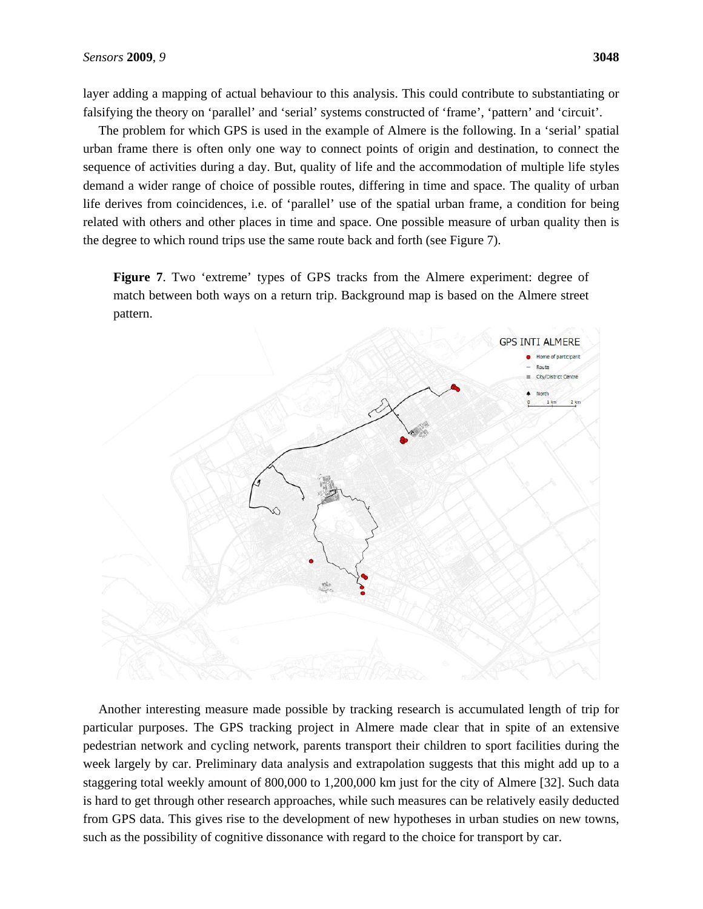layer adding a mapping of actual behaviour to this analysis. This could contribute to substantiating or falsifying the theory on 'parallel' and 'serial' systems constructed of 'frame', 'pattern' and 'circuit'.

The problem for which GPS is used in the example of Almere is the following. In a 'serial' spatial urban frame there is often only one way to connect points of origin and destination, to connect the sequence of activities during a day. But, quality of life and the accommodation of multiple life styles demand a wider range of choice of possible routes, differing in time and space. The quality of urban life derives from coincidences, i.e. of 'parallel' use of the spatial urban frame, a condition for being related with others and other places in time and space. One possible measure of urban quality then is the degree to which round trips use the same route back and forth (see Figure 7).

**Figure 7**. Two 'extreme' types of GPS tracks from the Almere experiment: degree of match between both ways on a return trip. Background map is based on the Almere street pattern.



Another interesting measure made possible by tracking research is accumulated length of trip for particular purposes. The GPS tracking project in Almere made clear that in spite of an extensive pedestrian network and cycling network, parents transport their children to sport facilities during the week largely by car. Preliminary data analysis and extrapolation suggests that this might add up to a staggering total weekly amount of 800,000 to 1,200,000 km just for the city of Almere [32]. Such data is hard to get through other research approaches, while such measures can be relatively easily deducted from GPS data. This gives rise to the development of new hypotheses in urban studies on new towns, such as the possibility of cognitive dissonance with regard to the choice for transport by car.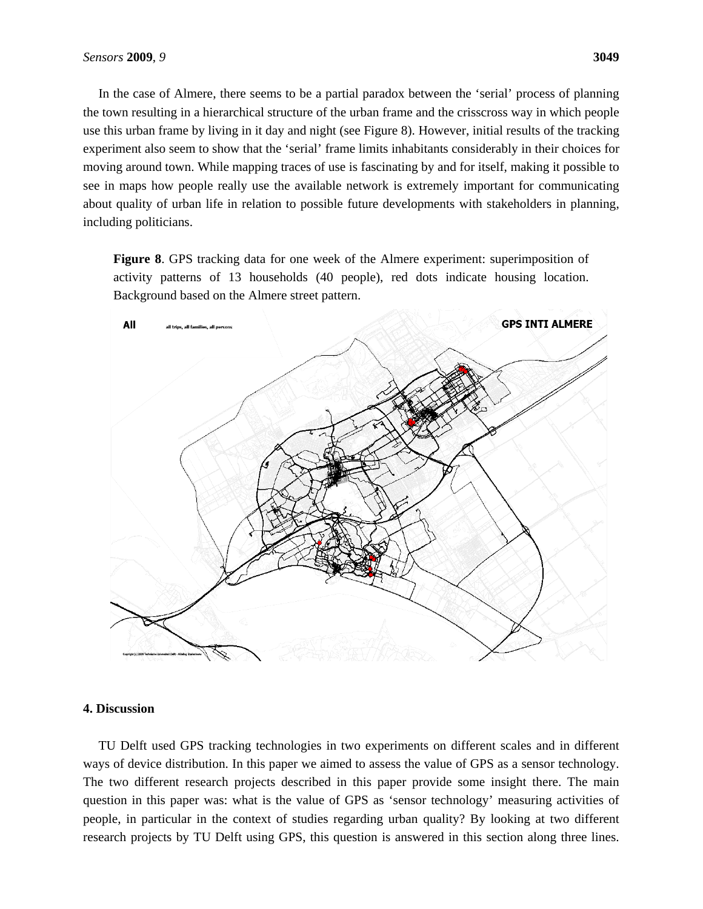In the case of Almere, there seems to be a partial paradox between the 'serial' process of planning the town resulting in a hierarchical structure of the urban frame and the crisscross way in which people use this urban frame by living in it day and night (see Figure 8). However, initial results of the tracking experiment also seem to show that the 'serial' frame limits inhabitants considerably in their choices for moving around town. While mapping traces of use is fascinating by and for itself, making it possible to see in maps how people really use the available network is extremely important for communicating about quality of urban life in relation to possible future developments with stakeholders in planning, including politicians.

**Figure 8**. GPS tracking data for one week of the Almere experiment: superimposition of activity patterns of 13 households (40 people), red dots indicate housing location. Background based on the Almere street pattern.



#### **4. Discussion**

TU Delft used GPS tracking technologies in two experiments on different scales and in different ways of device distribution. In this paper we aimed to assess the value of GPS as a sensor technology. The two different research projects described in this paper provide some insight there. The main question in this paper was: what is the value of GPS as 'sensor technology' measuring activities of people, in particular in the context of studies regarding urban quality? By looking at two different research projects by TU Delft using GPS, this question is answered in this section along three lines.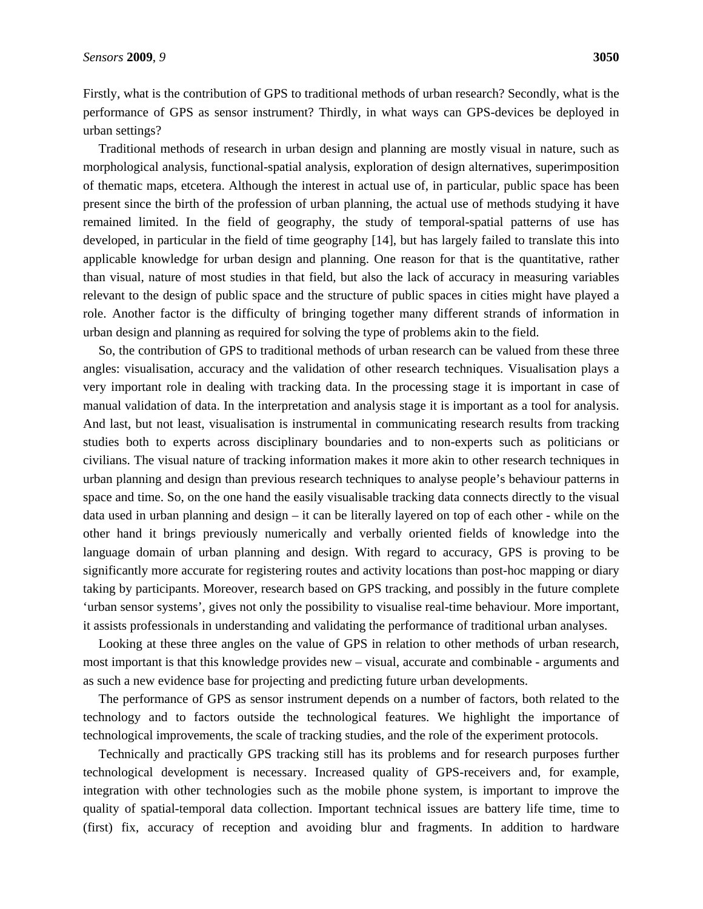Firstly, what is the contribution of GPS to traditional methods of urban research? Secondly, what is the performance of GPS as sensor instrument? Thirdly, in what ways can GPS-devices be deployed in urban settings?

Traditional methods of research in urban design and planning are mostly visual in nature, such as morphological analysis, functional-spatial analysis, exploration of design alternatives, superimposition of thematic maps, etcetera. Although the interest in actual use of, in particular, public space has been present since the birth of the profession of urban planning, the actual use of methods studying it have remained limited. In the field of geography, the study of temporal-spatial patterns of use has developed, in particular in the field of time geography [14], but has largely failed to translate this into applicable knowledge for urban design and planning. One reason for that is the quantitative, rather than visual, nature of most studies in that field, but also the lack of accuracy in measuring variables relevant to the design of public space and the structure of public spaces in cities might have played a role. Another factor is the difficulty of bringing together many different strands of information in urban design and planning as required for solving the type of problems akin to the field.

So, the contribution of GPS to traditional methods of urban research can be valued from these three angles: visualisation, accuracy and the validation of other research techniques. Visualisation plays a very important role in dealing with tracking data. In the processing stage it is important in case of manual validation of data. In the interpretation and analysis stage it is important as a tool for analysis. And last, but not least, visualisation is instrumental in communicating research results from tracking studies both to experts across disciplinary boundaries and to non-experts such as politicians or civilians. The visual nature of tracking information makes it more akin to other research techniques in urban planning and design than previous research techniques to analyse people's behaviour patterns in space and time. So, on the one hand the easily visualisable tracking data connects directly to the visual data used in urban planning and design – it can be literally layered on top of each other - while on the other hand it brings previously numerically and verbally oriented fields of knowledge into the language domain of urban planning and design. With regard to accuracy, GPS is proving to be significantly more accurate for registering routes and activity locations than post-hoc mapping or diary taking by participants. Moreover, research based on GPS tracking, and possibly in the future complete 'urban sensor systems', gives not only the possibility to visualise real-time behaviour. More important, it assists professionals in understanding and validating the performance of traditional urban analyses.

Looking at these three angles on the value of GPS in relation to other methods of urban research, most important is that this knowledge provides new – visual, accurate and combinable - arguments and as such a new evidence base for projecting and predicting future urban developments.

The performance of GPS as sensor instrument depends on a number of factors, both related to the technology and to factors outside the technological features. We highlight the importance of technological improvements, the scale of tracking studies, and the role of the experiment protocols.

Technically and practically GPS tracking still has its problems and for research purposes further technological development is necessary. Increased quality of GPS-receivers and, for example, integration with other technologies such as the mobile phone system, is important to improve the quality of spatial-temporal data collection. Important technical issues are battery life time, time to (first) fix, accuracy of reception and avoiding blur and fragments. In addition to hardware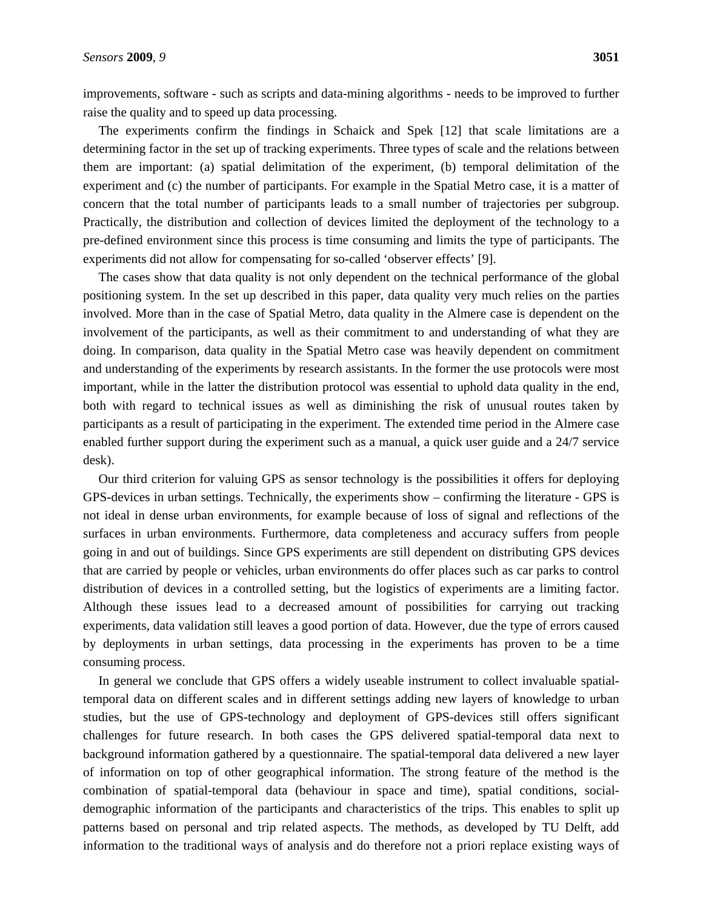improvements, software - such as scripts and data-mining algorithms - needs to be improved to further raise the quality and to speed up data processing.

The experiments confirm the findings in Schaick and Spek [12] that scale limitations are a determining factor in the set up of tracking experiments. Three types of scale and the relations between them are important: (a) spatial delimitation of the experiment, (b) temporal delimitation of the experiment and (c) the number of participants. For example in the Spatial Metro case, it is a matter of concern that the total number of participants leads to a small number of trajectories per subgroup. Practically, the distribution and collection of devices limited the deployment of the technology to a pre-defined environment since this process is time consuming and limits the type of participants. The experiments did not allow for compensating for so-called 'observer effects' [9].

The cases show that data quality is not only dependent on the technical performance of the global positioning system. In the set up described in this paper, data quality very much relies on the parties involved. More than in the case of Spatial Metro, data quality in the Almere case is dependent on the involvement of the participants, as well as their commitment to and understanding of what they are doing. In comparison, data quality in the Spatial Metro case was heavily dependent on commitment and understanding of the experiments by research assistants. In the former the use protocols were most important, while in the latter the distribution protocol was essential to uphold data quality in the end, both with regard to technical issues as well as diminishing the risk of unusual routes taken by participants as a result of participating in the experiment. The extended time period in the Almere case enabled further support during the experiment such as a manual, a quick user guide and a 24/7 service desk).

Our third criterion for valuing GPS as sensor technology is the possibilities it offers for deploying GPS-devices in urban settings. Technically, the experiments show – confirming the literature - GPS is not ideal in dense urban environments, for example because of loss of signal and reflections of the surfaces in urban environments. Furthermore, data completeness and accuracy suffers from people going in and out of buildings. Since GPS experiments are still dependent on distributing GPS devices that are carried by people or vehicles, urban environments do offer places such as car parks to control distribution of devices in a controlled setting, but the logistics of experiments are a limiting factor. Although these issues lead to a decreased amount of possibilities for carrying out tracking experiments, data validation still leaves a good portion of data. However, due the type of errors caused by deployments in urban settings, data processing in the experiments has proven to be a time consuming process.

In general we conclude that GPS offers a widely useable instrument to collect invaluable spatialtemporal data on different scales and in different settings adding new layers of knowledge to urban studies, but the use of GPS-technology and deployment of GPS-devices still offers significant challenges for future research. In both cases the GPS delivered spatial-temporal data next to background information gathered by a questionnaire. The spatial-temporal data delivered a new layer of information on top of other geographical information. The strong feature of the method is the combination of spatial-temporal data (behaviour in space and time), spatial conditions, socialdemographic information of the participants and characteristics of the trips. This enables to split up patterns based on personal and trip related aspects. The methods, as developed by TU Delft, add information to the traditional ways of analysis and do therefore not a priori replace existing ways of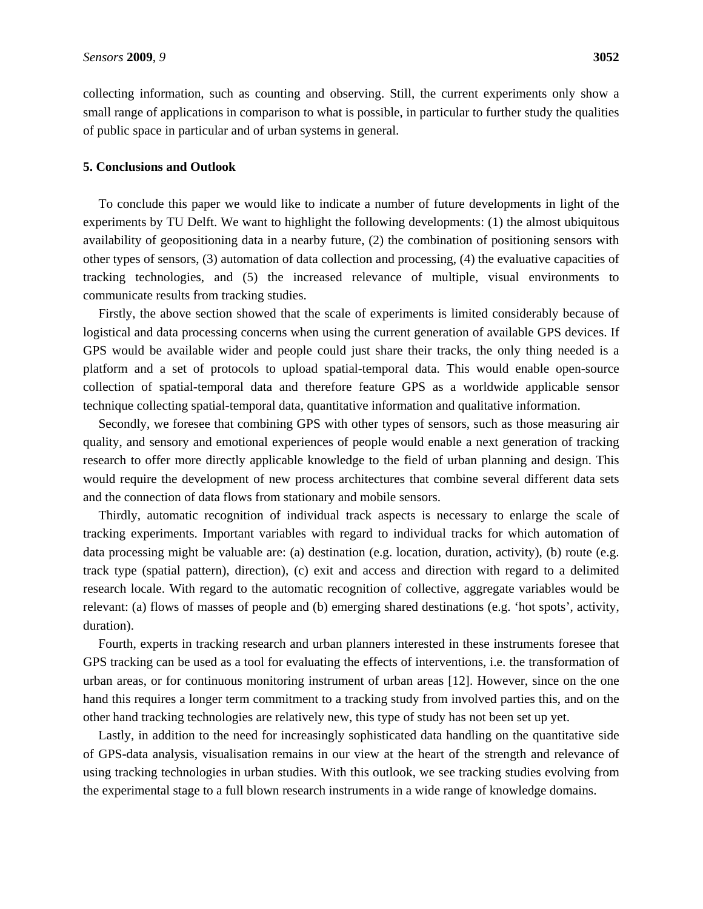collecting information, such as counting and observing. Still, the current experiments only show a small range of applications in comparison to what is possible, in particular to further study the qualities of public space in particular and of urban systems in general.

#### **5. Conclusions and Outlook**

To conclude this paper we would like to indicate a number of future developments in light of the experiments by TU Delft. We want to highlight the following developments: (1) the almost ubiquitous availability of geopositioning data in a nearby future, (2) the combination of positioning sensors with other types of sensors, (3) automation of data collection and processing, (4) the evaluative capacities of tracking technologies, and (5) the increased relevance of multiple, visual environments to communicate results from tracking studies.

Firstly, the above section showed that the scale of experiments is limited considerably because of logistical and data processing concerns when using the current generation of available GPS devices. If GPS would be available wider and people could just share their tracks, the only thing needed is a platform and a set of protocols to upload spatial-temporal data. This would enable open-source collection of spatial-temporal data and therefore feature GPS as a worldwide applicable sensor technique collecting spatial-temporal data, quantitative information and qualitative information.

Secondly, we foresee that combining GPS with other types of sensors, such as those measuring air quality, and sensory and emotional experiences of people would enable a next generation of tracking research to offer more directly applicable knowledge to the field of urban planning and design. This would require the development of new process architectures that combine several different data sets and the connection of data flows from stationary and mobile sensors.

Thirdly, automatic recognition of individual track aspects is necessary to enlarge the scale of tracking experiments. Important variables with regard to individual tracks for which automation of data processing might be valuable are: (a) destination (e.g. location, duration, activity), (b) route (e.g. track type (spatial pattern), direction), (c) exit and access and direction with regard to a delimited research locale. With regard to the automatic recognition of collective, aggregate variables would be relevant: (a) flows of masses of people and (b) emerging shared destinations (e.g. 'hot spots', activity, duration).

Fourth, experts in tracking research and urban planners interested in these instruments foresee that GPS tracking can be used as a tool for evaluating the effects of interventions, i.e. the transformation of urban areas, or for continuous monitoring instrument of urban areas [12]. However, since on the one hand this requires a longer term commitment to a tracking study from involved parties this, and on the other hand tracking technologies are relatively new, this type of study has not been set up yet.

Lastly, in addition to the need for increasingly sophisticated data handling on the quantitative side of GPS-data analysis, visualisation remains in our view at the heart of the strength and relevance of using tracking technologies in urban studies. With this outlook, we see tracking studies evolving from the experimental stage to a full blown research instruments in a wide range of knowledge domains.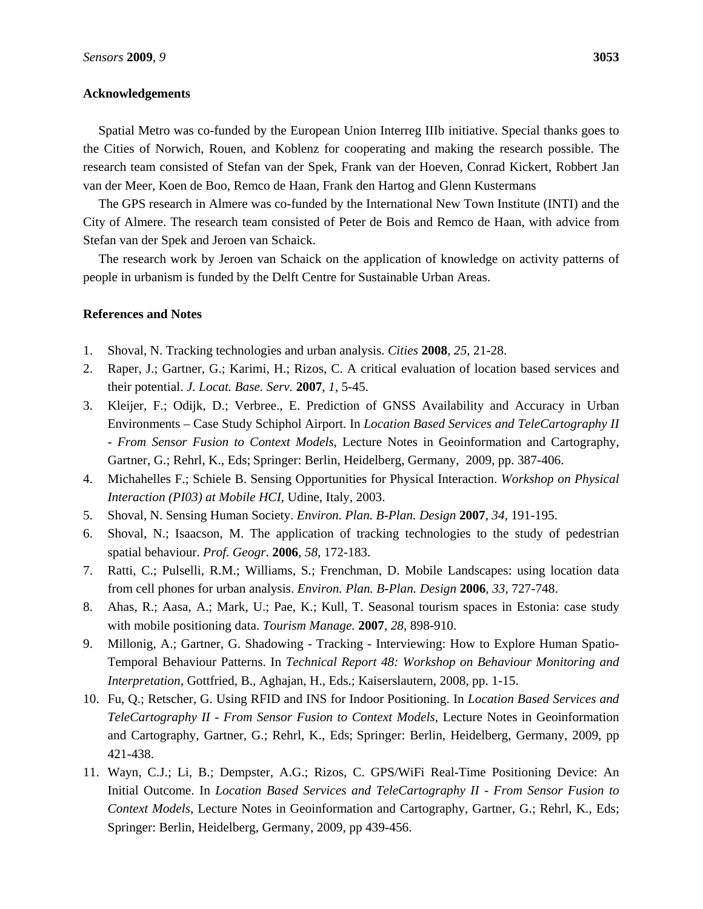#### **Acknowledgements**

Spatial Metro was co-funded by the European Union Interreg IIIb initiative. Special thanks goes to the Cities of Norwich, Rouen, and Koblenz for cooperating and making the research possible. The research team consisted of Stefan van der Spek, Frank van der Hoeven, Conrad Kickert, Robbert Jan van der Meer, Koen de Boo, Remco de Haan, Frank den Hartog and Glenn Kustermans

The GPS research in Almere was co-funded by the International New Town Institute (INTI) and the City of Almere. The research team consisted of Peter de Bois and Remco de Haan, with advice from Stefan van der Spek and Jeroen van Schaick.

The research work by Jeroen van Schaick on the application of knowledge on activity patterns of people in urbanism is funded by the Delft Centre for Sustainable Urban Areas.

#### **References and Notes**

- 1. Shoval, N. Tracking technologies and urban analysis. *Cities* **2008**, *25*, 21-28.
- 2. Raper, J.; Gartner, G.; Karimi, H.; Rizos, C. A critical evaluation of location based services and their potential. *J. Locat. Base. Serv.* **2007**, *1*, 5-45.
- 3. Kleijer, F.; Odijk, D.; Verbree., E. Prediction of GNSS Availability and Accuracy in Urban Environments – Case Study Schiphol Airport. In *Location Based Services and TeleCartography II - From Sensor Fusion to Context Models*, Lecture Notes in Geoinformation and Cartography, Gartner, G.; Rehrl, K., Eds; Springer: Berlin, Heidelberg, Germany, 2009, pp. 387-406.
- 4. Michahelles F.; Schiele B. Sensing Opportunities for Physical Interaction. *Workshop on Physical Interaction (PI03) at Mobile HCI*, Udine, Italy, 2003.
- 5. Shoval, N. Sensing Human Society. *Environ. Plan. B-Plan. Design* **2007**, *34*, 191-195.
- 6. Shoval, N.; Isaacson, M. The application of tracking technologies to the study of pedestrian spatial behaviour. *Prof. Geogr*. **2006**, *58*, 172-183.
- 7. Ratti, C.; Pulselli, R.M.; Williams, S.; Frenchman, D. Mobile Landscapes: using location data from cell phones for urban analysis. *Environ. Plan. B-Plan. Design* **2006**, *33*, 727-748.
- 8. Ahas, R.; Aasa, A.; Mark, U.; Pae, K.; Kull, T. Seasonal tourism spaces in Estonia: case study with mobile positioning data. *Tourism Manage.* **2007**, *28*, 898-910.
- 9. Millonig, A.; Gartner, G. Shadowing Tracking Interviewing: How to Explore Human Spatio-Temporal Behaviour Patterns. In *Technical Report 48: Workshop on Behaviour Monitoring and Interpretation*, Gottfried, B., Aghajan, H., Eds.; Kaiserslautern, 2008, pp. 1-15.
- 10. Fu, Q.; Retscher, G. Using RFID and INS for Indoor Positioning. In *Location Based Services and TeleCartography II - From Sensor Fusion to Context Models*, Lecture Notes in Geoinformation and Cartography, Gartner, G.; Rehrl, K., Eds; Springer: Berlin, Heidelberg, Germany, 2009, pp 421-438.
- 11. Wayn, C.J.; Li, B.; Dempster, A.G.; Rizos, C. GPS/WiFi Real-Time Positioning Device: An Initial Outcome. In *Location Based Services and TeleCartography II - From Sensor Fusion to Context Models*, Lecture Notes in Geoinformation and Cartography, Gartner, G.; Rehrl, K., Eds; Springer: Berlin, Heidelberg, Germany, 2009, pp 439-456.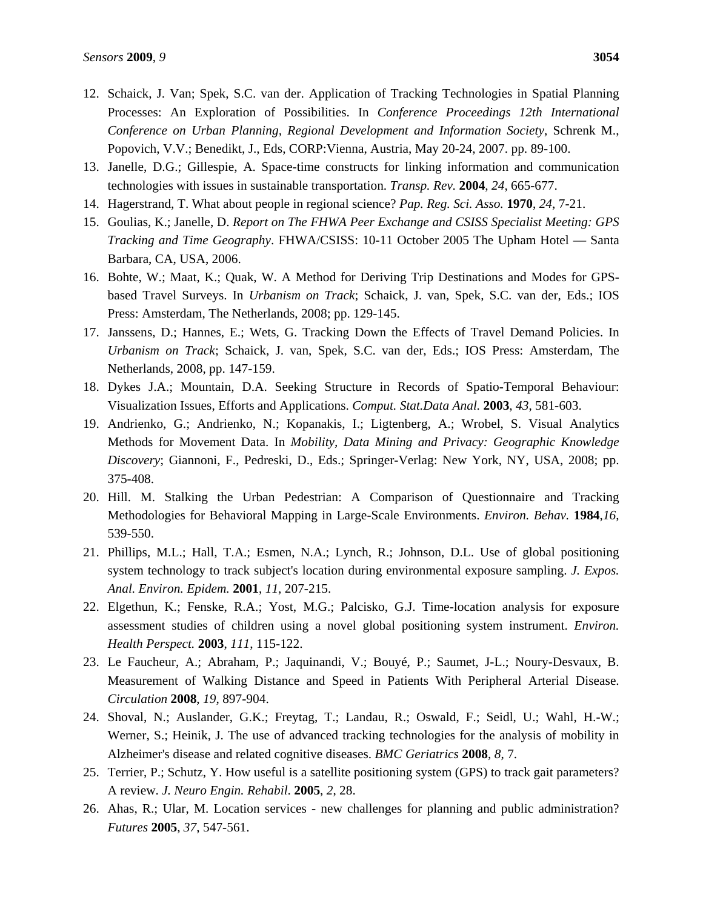- 12. Schaick, J. Van; Spek, S.C. van der. Application of Tracking Technologies in Spatial Planning Processes: An Exploration of Possibilities. In *Conference Proceedings 12th International Conference on Urban Planning, Regional Development and Information Society*, Schrenk M., Popovich, V.V.; Benedikt, J., Eds, CORP:Vienna, Austria, May 20-24, 2007. pp. 89-100.
- 13. Janelle, D.G.; Gillespie, A. Space-time constructs for linking information and communication technologies with issues in sustainable transportation. *Transp. Rev.* **2004**, *24*, 665-677.
- 14. Hagerstrand, T. What about people in regional science? *Pap. Reg. Sci. Asso.* **1970**, *24*, 7-21.
- 15. Goulias, K.; Janelle, D. *Report on The FHWA Peer Exchange and CSISS Specialist Meeting: GPS Tracking and Time Geography*. FHWA/CSISS: 10-11 October 2005 The Upham Hotel –– Santa Barbara, CA, USA, 2006.
- 16. Bohte, W.; Maat, K.; Quak, W. A Method for Deriving Trip Destinations and Modes for GPSbased Travel Surveys. In *Urbanism on Track*; Schaick, J. van, Spek, S.C. van der, Eds.; IOS Press: Amsterdam, The Netherlands, 2008; pp. 129-145.
- 17. Janssens, D.; Hannes, E.; Wets, G. Tracking Down the Effects of Travel Demand Policies. In *Urbanism on Track*; Schaick, J. van, Spek, S.C. van der, Eds.; IOS Press: Amsterdam, The Netherlands, 2008, pp. 147-159.
- 18. Dykes J.A.; Mountain, D.A. Seeking Structure in Records of Spatio-Temporal Behaviour: Visualization Issues, Efforts and Applications. *Comput. Stat.Data Anal.* **2003**, *43*, 581-603.
- 19. Andrienko, G.; Andrienko, N.; Kopanakis, I.; Ligtenberg, A.; Wrobel, S. Visual Analytics Methods for Movement Data. In *Mobility, Data Mining and Privacy: Geographic Knowledge Discovery*; Giannoni, F., Pedreski, D., Eds.; Springer-Verlag: New York, NY, USA, 2008; pp. 375-408.
- 20. Hill. M. Stalking the Urban Pedestrian: A Comparison of Questionnaire and Tracking Methodologies for Behavioral Mapping in Large-Scale Environments. *Environ. Behav.* **1984**,*16*, 539-550.
- 21. Phillips, M.L.; Hall, T.A.; Esmen, N.A.; Lynch, R.; Johnson, D.L. Use of global positioning system technology to track subject's location during environmental exposure sampling. *J. Expos. Anal. Environ. Epidem.* **2001**, *11*, 207-215.
- 22. Elgethun, K.; Fenske, R.A.; Yost, M.G.; Palcisko, G.J. Time-location analysis for exposure assessment studies of children using a novel global positioning system instrument. *Environ. Health Perspect.* **2003**, *111*, 115-122.
- 23. Le Faucheur, A.; Abraham, P.; Jaquinandi, V.; Bouyé, P.; Saumet, J-L.; Noury-Desvaux, B. Measurement of Walking Distance and Speed in Patients With Peripheral Arterial Disease. *Circulation* **2008**, *19*, 897-904.
- 24. Shoval, N.; Auslander, G.K.; Freytag, T.; Landau, R.; Oswald, F.; Seidl, U.; Wahl, H.-W.; Werner, S.; Heinik, J. The use of advanced tracking technologies for the analysis of mobility in Alzheimer's disease and related cognitive diseases. *BMC Geriatrics* **2008**, *8*, 7.
- 25. Terrier, P.; Schutz, Y. How useful is a satellite positioning system (GPS) to track gait parameters? A review. *J. Neuro Engin. Rehabil*. **2005**, *2*, 28.
- 26. Ahas, R.; Ular, M. Location services new challenges for planning and public administration? *Futures* **2005**, *37*, 547-561.